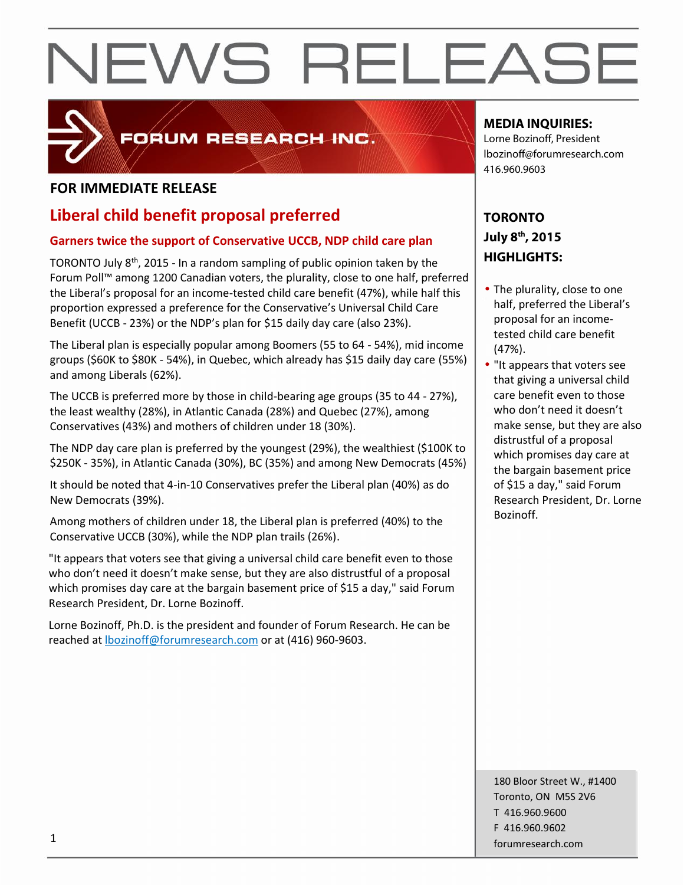

## FORUM RESEARCH INC.

## **FOR IMMEDIATE RELEASE**

## **Liberal child benefit proposal preferred**

### **Garners twice the support of Conservative UCCB, NDP child care plan**

TORONTO July 8<sup>th</sup>, 2015 - In a random sampling of public opinion taken by the  $\vert$ Forum Poll™ among 1200 Canadian voters, the plurality, close to one half, preferred the Liberal's proposal for an income-tested child care benefit (47%), while half this proportion expressed a preference for the Conservative's Universal Child Care Benefit (UCCB - 23%) or the NDP's plan for \$15 daily day care (also 23%).

The Liberal plan is especially popular among Boomers (55 to 64 - 54%), mid income groups (\$60K to \$80K - 54%), in Quebec, which already has \$15 daily day care (55%) and among Liberals (62%).

The UCCB is preferred more by those in child-bearing age groups (35 to 44 - 27%), the least wealthy (28%), in Atlantic Canada (28%) and Quebec (27%), among Conservatives (43%) and mothers of children under 18 (30%).

The NDP day care plan is preferred by the youngest (29%), the wealthiest (\$100K to \$250K - 35%), in Atlantic Canada (30%), BC (35%) and among New Democrats (45%)

It should be noted that 4-in-10 Conservatives prefer the Liberal plan (40%) as do New Democrats (39%).

Among mothers of children under 18, the Liberal plan is preferred (40%) to the Conservative UCCB (30%), while the NDP plan trails (26%).

"It appears that voters see that giving a universal child care benefit even to those who don't need it doesn't make sense, but they are also distrustful of a proposal which promises day care at the bargain basement price of \$15 a day," said Forum Research President, Dr. Lorne Bozinoff.

Lorne Bozinoff, Ph.D. is the president and founder of Forum Research. He can be reached at lbozinoff@forumresearch.com or at (416) 960-9603.

### **MEDIA INQUIRIES:**

Lorne Bozinoff, President lbozinoff@forumresearch.com 416.960.9603

## **TORONTO July 8th, 2015 HIGHLIGHTS:**

- The plurality, close to one half, preferred the Liberal's proposal for an income tested child care benefit (47%).
- "It appears that voters see that giving a universal child care benefit even to those who don't need it doesn't make sense, but they are also distrustful of a proposal which promises day care at the bargain basement price of \$15 a day," said Forum Research President, Dr. Lorne Bozinoff.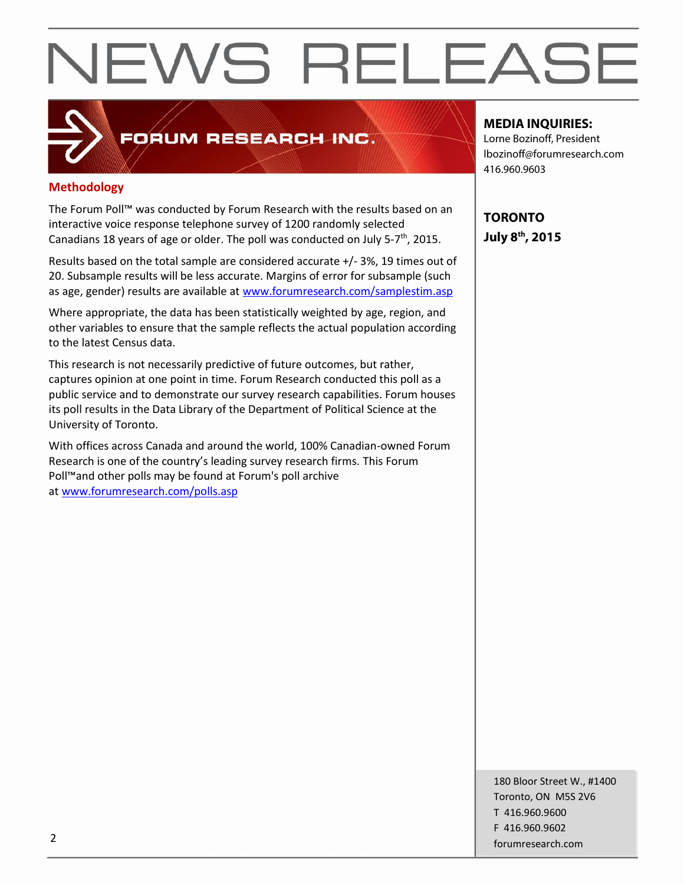## **Methodology**

The Forum Poll™ was conducted by Forum Research with the results based on an interactive voice response telephone survey of 1200 randomly selected Canadians 18 years of age or older. The poll was conducted on July 5-7<sup>th</sup>, 2015.

FORUM RESEARCH INC.

Results based on the total sample are considered accurate +/- 3%, 19 times out of 20. Subsample results will be less accurate. Margins of error for subsample (such as age, gender) results are available at www.forumresearch.com/samplestim.asp

Where appropriate, the data has been statistically weighted by age, region, and other variables to ensure that the sample reflects the actual population according to the latest Census data.

This research is not necessarily predictive of future outcomes, but rather, captures opinion at one point in time. Forum Research conducted this poll as a public service and to demonstrate our survey research capabilities. Forum houses its poll results in the Data Library of the Department of Political Science at the University of Toronto.

With offices across Canada and around the world, 100% Canadian-owned Forum Research is one of the country's leading survey research firms. This Forum Poll™and other polls may be found at Forum's poll archive at www.forumresearch.com/polls.asp

**MEDIA INQUIRIES:**

Lorne Bozinoff, President lbozinoff@forumresearch.com 416.960.9603

**TORONTO July 8th, 2015**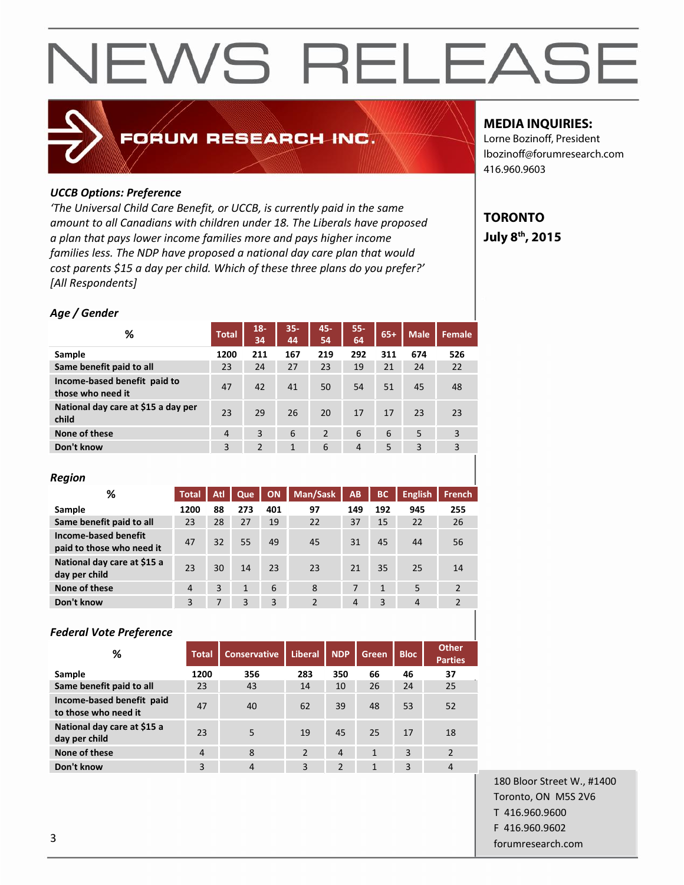## FORUM RESEARCH INC.

#### *UCCB Options: Preference*

*'The Universal Child Care Benefit, or UCCB, is currently paid in the same amount to all Canadians with children under 18. The Liberals have proposed a plan that pays lower income families more and pays higher income families less. The NDP have proposed a national day care plan that would cost parents \$15 a day per child. Which of these three plans do you prefer?' [All Respondents]*

#### *Age / Gender*

| %                                                 | <b>Total</b>   | $18 -$<br>34 | $35 -$<br>44 | 45-<br>54 | 55-<br>64      | $65+$ | <b>Male</b> | Female |
|---------------------------------------------------|----------------|--------------|--------------|-----------|----------------|-------|-------------|--------|
| Sample                                            | 1200           | 211          | 167          | 219       | 292            | 311   | 674         | 526    |
| Same benefit paid to all                          | 23             | 24           | 27           | 23        | 19             | 21    | 24          | 22     |
| Income-based benefit paid to<br>those who need it | 47             | 42           | 41           | 50        | 54             | 51    | 45          | 48     |
| National day care at \$15 a day per<br>child      | 23             | 29           | 26           | 20        | 17             | 17    | 23          | 23     |
| None of these                                     | $\overline{4}$ | 3            | 6            | 2         | 6              | 6     | 5           | 3      |
| Don't know                                        | 3              | 2            | 1            | 6         | $\overline{4}$ | 5     | 3           | 3      |

#### *Region*

| %                                                 | <b>Total</b>   | Atl | Que          | <b>ON</b> | Man/Sask       | <b>AB</b>      | BC           | <b>English</b> | <b>French</b>  |
|---------------------------------------------------|----------------|-----|--------------|-----------|----------------|----------------|--------------|----------------|----------------|
| Sample                                            | 1200           | 88  | 273          | 401       | 97             | 149            | 192          | 945            | 255            |
| Same benefit paid to all                          | 23             | 28  | 27           | 19        | 22             | 37             | 15           | 22             | 26             |
| Income-based benefit<br>paid to those who need it | 47             | 32  | 55           | 49        | 45             | 31             | 45           | 44             | 56             |
| National day care at \$15 a<br>day per child      | 23             | 30  | 14           | 23        | 23             | 21             | 35           | 25             | 14             |
| None of these                                     | $\overline{4}$ | 3   | $\mathbf{1}$ | 6         | 8              | 7              | $\mathbf{1}$ | 5              | 2              |
| Don't know                                        | 3              | 7   | 3            | 3         | $\overline{2}$ | $\overline{4}$ | 3            | $\overline{4}$ | $\overline{2}$ |

#### *Federal Vote Preference*

| %                                                 | Total          | <b>Conservative</b> | <b>Liberal</b> | <b>NDP</b>     | Green          | <b>Bloc</b> | <b>Other</b><br><b>Parties</b> |
|---------------------------------------------------|----------------|---------------------|----------------|----------------|----------------|-------------|--------------------------------|
| Sample                                            | 1200           | 356                 | 283            | 350            | 66             | 46          | 37                             |
| Same benefit paid to all                          | 23             | 43                  | 14             | 10             | 26             | 24          | 25                             |
| Income-based benefit paid<br>to those who need it | 47             | 40                  | 62             | 39             | 48             | 53          | 52                             |
| National day care at \$15 a<br>day per child      | 23             | 5                   | 19             | 45             | 25             | 17          | 18                             |
| None of these                                     | $\overline{4}$ | 8                   | 2              | $\overline{4}$ | $\mathbf{1}$   | 3           | $\overline{2}$                 |
| Don't know                                        | 3              | $\overline{4}$      | 3              | $\mathcal{P}$  | $\overline{1}$ | 3           | 4                              |

### **MEDIA INQUIRIES:**

Lorne Bozinoff, President lbozinoff@forumresearch.com 416.960.9603

## **TORONTO July 8th, 2015**